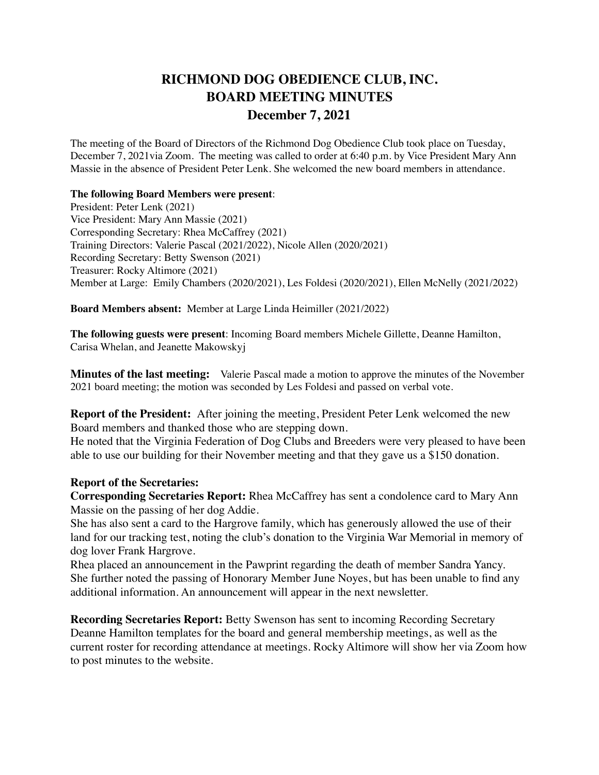## **RICHMOND DOG OBEDIENCE CLUB, INC. BOARD MEETING MINUTES December 7, 2021**

The meeting of the Board of Directors of the Richmond Dog Obedience Club took place on Tuesday, December 7, 2021via Zoom. The meeting was called to order at 6:40 p.m. by Vice President Mary Ann Massie in the absence of President Peter Lenk. She welcomed the new board members in attendance.

## **The following Board Members were present**:

President: Peter Lenk (2021) Vice President: Mary Ann Massie (2021) Corresponding Secretary: Rhea McCaffrey (2021) Training Directors: Valerie Pascal (2021/2022), Nicole Allen (2020/2021) Recording Secretary: Betty Swenson (2021) Treasurer: Rocky Altimore (2021) Member at Large: Emily Chambers (2020/2021), Les Foldesi (2020/2021), Ellen McNelly (2021/2022)

**Board Members absent:** Member at Large Linda Heimiller (2021/2022)

**The following guests were present**: Incoming Board members Michele Gillette, Deanne Hamilton, Carisa Whelan, and Jeanette Makowskyj

**Minutes of the last meeting:** Valerie Pascal made a motion to approve the minutes of the November 2021 board meeting; the motion was seconded by Les Foldesi and passed on verbal vote.

**Report of the President:** After joining the meeting, President Peter Lenk welcomed the new Board members and thanked those who are stepping down.

He noted that the Virginia Federation of Dog Clubs and Breeders were very pleased to have been able to use our building for their November meeting and that they gave us a \$150 donation.

## **Report of the Secretaries:**

**Corresponding Secretaries Report:** Rhea McCaffrey has sent a condolence card to Mary Ann Massie on the passing of her dog Addie.

She has also sent a card to the Hargrove family, which has generously allowed the use of their land for our tracking test, noting the club's donation to the Virginia War Memorial in memory of dog lover Frank Hargrove.

Rhea placed an announcement in the Pawprint regarding the death of member Sandra Yancy. She further noted the passing of Honorary Member June Noyes, but has been unable to find any additional information. An announcement will appear in the next newsletter.

**Recording Secretaries Report:** Betty Swenson has sent to incoming Recording Secretary Deanne Hamilton templates for the board and general membership meetings, as well as the current roster for recording attendance at meetings. Rocky Altimore will show her via Zoom how to post minutes to the website.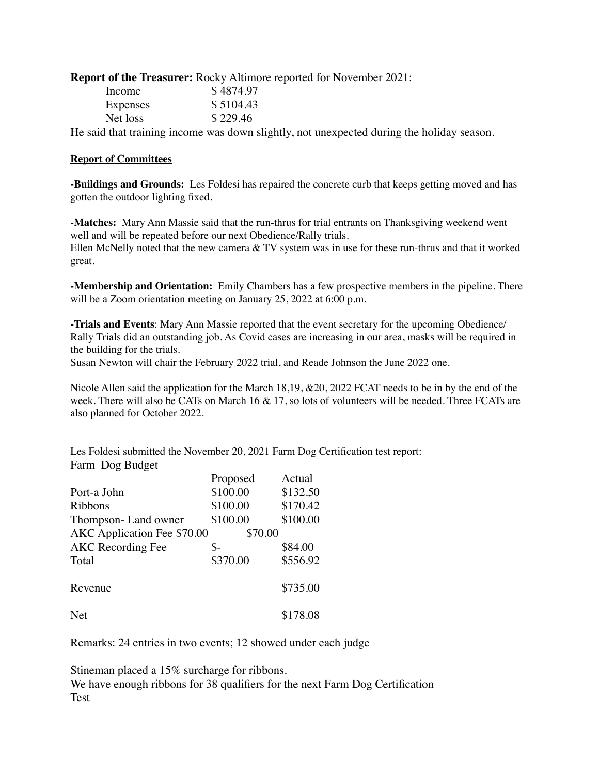**Report of the Treasurer:** Rocky Altimore reported for November 2021:

| Income   | \$4874.97 |
|----------|-----------|
| Expenses | \$5104.43 |
| Net loss | \$229.46  |
|          |           |

He said that training income was down slightly, not unexpected during the holiday season.

## **Report of Committees**

**-Buildings and Grounds:** Les Foldesi has repaired the concrete curb that keeps getting moved and has gotten the outdoor lighting fixed.

**-Matches:** Mary Ann Massie said that the run-thrus for trial entrants on Thanksgiving weekend went well and will be repeated before our next Obedience/Rally trials.

Ellen McNelly noted that the new camera & TV system was in use for these run-thrus and that it worked great.

**-Membership and Orientation:** Emily Chambers has a few prospective members in the pipeline. There will be a Zoom orientation meeting on January 25, 2022 at 6:00 p.m.

**-Trials and Events**: Mary Ann Massie reported that the event secretary for the upcoming Obedience/ Rally Trials did an outstanding job. As Covid cases are increasing in our area, masks will be required in the building for the trials.

Susan Newton will chair the February 2022 trial, and Reade Johnson the June 2022 one.

Nicole Allen said the application for the March 18,19, &20, 2022 FCAT needs to be in by the end of the week. There will also be CATs on March 16 & 17, so lots of volunteers will be needed. Three FCATs are also planned for October 2022.

Les Foldesi submitted the November 20, 2021 Farm Dog Certification test report: Farm Dog Budget

|                             | Proposed | Actual   |
|-----------------------------|----------|----------|
| Port-a John                 | \$100.00 | \$132.50 |
| Ribbons                     | \$100.00 | \$170.42 |
| Thompson-Land owner         | \$100.00 | \$100.00 |
| AKC Application Fee \$70.00 | \$70.00  |          |
| <b>AKC</b> Recording Fee    | \$-      | \$84.00  |
| Total                       | \$370.00 | \$556.92 |
| Revenue                     |          | \$735.00 |
| <b>Net</b>                  |          | \$178.08 |

Remarks: 24 entries in two events; 12 showed under each judge

Stineman placed a 15% surcharge for ribbons.

We have enough ribbons for 38 qualifiers for the next Farm Dog Certification Test